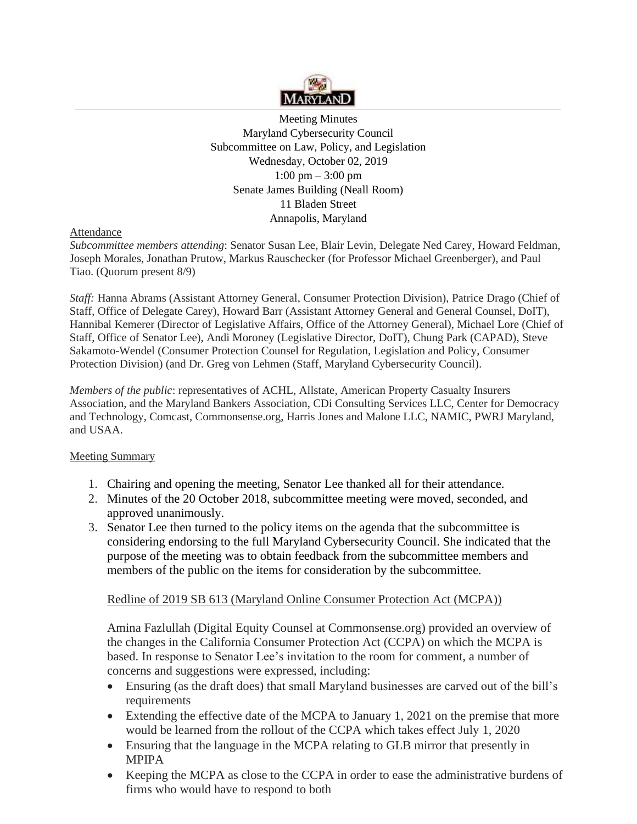

Meeting Minutes Maryland Cybersecurity Council Subcommittee on Law, Policy, and Legislation Wednesday, October 02, 2019  $1:00 \text{ pm} - 3:00 \text{ pm}$ Senate James Building (Neall Room) 11 Bladen Street Annapolis, Maryland

# Attendance

*Subcommittee members attending*: Senator Susan Lee, Blair Levin, Delegate Ned Carey, Howard Feldman, Joseph Morales, Jonathan Prutow, Markus Rauschecker (for Professor Michael Greenberger), and Paul Tiao. (Quorum present 8/9)

*Staff:* Hanna Abrams (Assistant Attorney General, Consumer Protection Division), Patrice Drago (Chief of Staff, Office of Delegate Carey), Howard Barr (Assistant Attorney General and General Counsel, DoIT), Hannibal Kemerer (Director of Legislative Affairs, Office of the Attorney General), Michael Lore (Chief of Staff, Office of Senator Lee), Andi Moroney (Legislative Director, DoIT), Chung Park (CAPAD), Steve Sakamoto-Wendel (Consumer Protection Counsel for Regulation, Legislation and Policy, Consumer Protection Division) (and Dr. Greg von Lehmen (Staff, Maryland Cybersecurity Council).

*Members of the public*: representatives of ACHL, Allstate, American Property Casualty Insurers Association, and the Maryland Bankers Association, CDi Consulting Services LLC, Center for Democracy and Technology, Comcast, [Commonsense.org,](http://Commonsense.org) Harris Jones and Malone LLC, NAMIC, PWRJ Maryland, and USAA.

# Meeting Summary

- 1. Chairing and opening the meeting, Senator Lee thanked all for their attendance.
- 2. Minutes of the 20 October 2018, subcommittee meeting were moved, seconded, and approved unanimously.
- 3. Senator Lee then turned to the policy items on the agenda that the subcommittee is considering endorsing to the full Maryland Cybersecurity Council. She indicated that the purpose of the meeting was to obtain feedback from the subcommittee members and members of the public on the items for consideration by the subcommittee.

# Redline of 2019 SB 613 (Maryland Online Consumer Protection Act (MCPA))

Amina Fazlullah (Digital Equity Counsel at [Commonsense.org\)](http://Commonsense.org) provided an overview of the changes in the California Consumer Protection Act (CCPA) on which the MCPA is based. In response to Senator Lee's invitation to the room for comment, a number of concerns and suggestions were expressed, including:

- Ensuring (as the draft does) that small Maryland businesses are carved out of the bill's requirements
- Extending the effective date of the MCPA to January 1, 2021 on the premise that more would be learned from the rollout of the CCPA which takes effect July 1, 2020
- Ensuring that the language in the MCPA relating to GLB mirror that presently in MPIPA
- Keeping the MCPA as close to the CCPA in order to ease the administrative burdens of firms who would have to respond to both